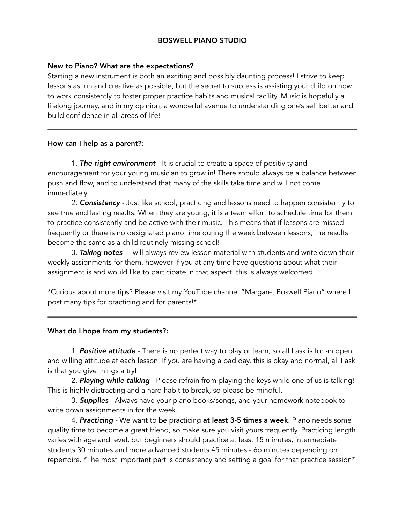# BOSWELL PIANO STUDIO

## New to Piano? What are the expectations?

Starting a new instrument is both an exciting and possibly daunting process! I strive to keep lessons as fun and creative as possible, but the secret to success is assisting your child on how to work consistently to foster proper practice habits and musical facility. Music is hopefully a lifelong journey, and in my opinion, a wonderful avenue to understanding one's self better and build confidence in all areas of life!

#### How can I help as a parent?:

 1. *The right environment* - It is crucial to create a space of positivity and encouragement for your young musician to grow in! There should always be a balance between push and flow, and to understand that many of the skills take time and will not come immediately.

 2. *Consistency -* Just like school, practicing and lessons need to happen consistently to see true and lasting results. When they are young, it is a team effort to schedule time for them to practice consistently and be active with their music. This means that if lessons are missed frequently or there is no designated piano time during the week between lessons, the results become the same as a child routinely missing school!

 3. *Taking notes -* I will always review lesson material with students and write down their weekly assignments for them, however if you at any time have questions about what their assignment is and would like to participate in that aspect, this is always welcomed.

\*Curious about more tips? Please visit my YouTube channel "Margaret Boswell Piano" where I post many tips for practicing and for parents!\*

# What do I hope from my students?:

1. *Positive attitude -* There is no perfect way to play or learn, so all I ask is for an open and willing attitude at each lesson. If you are having a bad day, this is okay and normal, all I ask is that you give things a try!

 2. *Playing while talking* - Please refrain from playing the keys while one of us is talking! This is highly distracting and a hard habit to break, so please be mindful.

 3. *Supplies -* Always have your piano books/songs, and your homework notebook to write down assignments in for the week.

 4. *Practicing -* We want to be practicing at least 3-5 times a week. Piano needs some quality time to become a great friend, so make sure you visit yours frequently. Practicing length varies with age and level, but beginners should practice at least 15 minutes, intermediate students 30 minutes and more advanced students 45 minutes - 6o minutes depending on repertoire. \*The most important part is consistency and setting a goal for that practice session\*